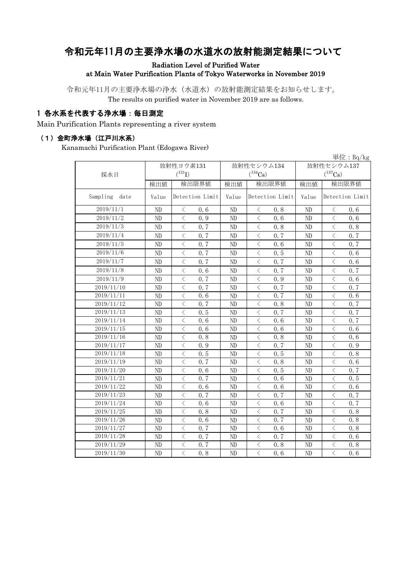# 令和元年11月の主要浄水場の水道水の放射能測定結果について

Radiation Level of Purified Water

at Main Water Purification Plants of Tokyo Waterworks in November 2019

令和元年11月の主要浄水場の浄水(水道水)の放射能測定結果をお知らせします。 The results on purified water in November 2019 are as follows.

## 1 各水系を代表する浄水場:毎日測定

Main Purification Plants representing a river system

#### (1)金町浄水場(江戸川水系)

Kanamachi Purification Plant (Edogawa River)

|                  |                |                                                                                                                                                                      |       |                                                                                                                                                                      |              | 単位: $Bq/kg$           |  |
|------------------|----------------|----------------------------------------------------------------------------------------------------------------------------------------------------------------------|-------|----------------------------------------------------------------------------------------------------------------------------------------------------------------------|--------------|-----------------------|--|
|                  |                | 放射性ヨウ素131                                                                                                                                                            |       | 放射性セシウム134                                                                                                                                                           | 放射性セシウム137   |                       |  |
| 採水日              |                | $(^{131}I)$                                                                                                                                                          |       | $(^{134}Cs)$                                                                                                                                                         | $(^{137}Cs)$ |                       |  |
|                  | 検出値            | 検出限界値                                                                                                                                                                | 検出値   | 検出限界値                                                                                                                                                                | 検出値          | 検出限界値                 |  |
| Sampling<br>date | Value          | Detection Limit                                                                                                                                                      | Value | Detection Limit                                                                                                                                                      | Value        | Detection Limit       |  |
| 2019/11/1        | ND             | 0.6<br>$\langle$                                                                                                                                                     | ND    | 0.8<br>$\langle$                                                                                                                                                     | ND           | 0.6<br>$\langle$      |  |
| 2019/11/2        | ND             | $\langle$<br>0.9                                                                                                                                                     | ND    | $\,$ $\,$ $\,$<br>0, 6                                                                                                                                               | ND           | $\langle$<br>0.6      |  |
| 2019/11/3        | ND             | $\langle$<br>0.7                                                                                                                                                     | ND    | $\lt$<br>0.8                                                                                                                                                         | ND           | $\langle$<br>0.8      |  |
| 2019/11/4        | ND             | $\langle$<br>0, 7                                                                                                                                                    | ND    | $\langle$<br>0.7                                                                                                                                                     | ND           | $\langle$<br>0, 7     |  |
| 2019/11/5        | ND             | $\langle$<br>0.7                                                                                                                                                     | ND    | $\overline{\left\langle \right. }% ,\left\langle \overline{\left\langle \right. }% ,\left\langle \overline{\left\langle \right\rangle }\right\rangle \right.$<br>0.6 | ND           | $\langle$<br>0.7      |  |
| 2019/11/6        | ND             | $\langle$<br>0.7                                                                                                                                                     | ND    | $\, < \,$<br>0.5                                                                                                                                                     | ND           | $\lt$<br>0.6          |  |
| 2019/11/7        | ND             | $\, <\,$<br>0.7                                                                                                                                                      | ND    | $\, < \,$<br>0.7                                                                                                                                                     | ND           | $\lt$<br>0.6          |  |
| 2019/11/8        | ND             | $\lt$<br>0.6                                                                                                                                                         | ND    | $\hspace{0.1cm}\raisebox{0.5pt}{\text{\circle*{1.5}}}\hspace{0.1cm}$<br>0.7                                                                                          | ND           | $\,$ $\,$ $\,$<br>0.7 |  |
| 2019/11/9        | N <sub>D</sub> | $\langle$<br>0.7                                                                                                                                                     | ND    | $\lt$<br>0.9                                                                                                                                                         | ND           | $\lt$<br>0.6          |  |
| 2019/11/10       | ND             | $\langle$<br>0.7                                                                                                                                                     | ND    | $\langle$<br>0.7                                                                                                                                                     | ND           | $\langle$<br>0.7      |  |
| 2019/11/11       | ND             | $\langle$<br>0.6                                                                                                                                                     | ND    | $\overline{\left\langle \right\rangle }$<br>0.7                                                                                                                      | ND           | $\langle$<br>0.6      |  |
| 2019/11/12       | ND             | $\langle$<br>0.7                                                                                                                                                     | ND    | $\overline{\left\langle \right\rangle }$<br>0.8                                                                                                                      | ND           | $\langle$<br>0.7      |  |
| 2019/11/13       | ND             | $\langle$<br>0.5                                                                                                                                                     | ND    | $\, < \,$<br>0.7                                                                                                                                                     | ND           | $\langle$<br>0.7      |  |
| 2019/11/14       | ND             | $\lt$<br>0.6                                                                                                                                                         | ND    | $\langle$<br>0.6                                                                                                                                                     | ND           | $\lt$<br>0.7          |  |
| 2019/11/15       | ND             | $\langle$<br>0.6                                                                                                                                                     | ND    | $\langle$<br>0.6                                                                                                                                                     | ND           | $\lt$<br>0.6          |  |
| 2019/11/16       | ND             | $\lt$<br>0.8                                                                                                                                                         | ND    | $\langle$<br>0.8                                                                                                                                                     | ND           | $\,$ $\,$<br>0.6      |  |
| 2019/11/17       | ND             | $\lt$<br>0.9                                                                                                                                                         | ND    | 0.7<br>$\lt$                                                                                                                                                         | ND           | $\lt$<br>0.9          |  |
| 2019/11/18       | ND             | $\langle$<br>0.5                                                                                                                                                     | ND    | $\langle$<br>0.5                                                                                                                                                     | ND           | $\lt$<br>0.8          |  |
| 2019/11/19       | ND             | $\langle$<br>0.7                                                                                                                                                     | ND    | $\langle$<br>0.8                                                                                                                                                     | ND           | $\lt$<br>0.6          |  |
| 2019/11/20       | ND             | $\langle$<br>0.6                                                                                                                                                     | ND    | $\,$ $\,$<br>0.5                                                                                                                                                     | ND           | $\langle$<br>0.7      |  |
| 2019/11/21       | ND             | $\langle$<br>0.7                                                                                                                                                     | ND    | $\lt$<br>0.6                                                                                                                                                         | ND           | $\lt$<br>0.5          |  |
| 2019/11/22       | ND             | $\lt$<br>0.6                                                                                                                                                         | ND    | $\langle$<br>0.6                                                                                                                                                     | ND           | $\,$ $\,$<br>0.6      |  |
| 2019/11/23       | ND             | $\langle$<br>0.7                                                                                                                                                     | ND    | 0.7<br>$\lt$                                                                                                                                                         | ND           | $\lt$<br>0.7          |  |
| 2019/11/24       | ND             | $\overline{\left\langle \right\rangle }$<br>0.6                                                                                                                      | ND    | $\overline{\left\langle \right\rangle }$<br>0.6                                                                                                                      | ND           | $\langle$<br>0, 7     |  |
| 2019/11/25       | ND             | $\lt$<br>0.8                                                                                                                                                         | ND    | $\, < \,$<br>0.7                                                                                                                                                     | ND           | $\,$ $\,$<br>0.8      |  |
| 2019/11/26       | ND             | $\overline{\left\langle \right. }% ,\left\langle \overline{\left\langle \right. }% ,\left\langle \overline{\left\langle \right\rangle }\right\rangle \right.$<br>0.6 | ND    | $\overline{\left\langle \right\rangle }$<br>0.7                                                                                                                      | ND           | $\langle$<br>0.8      |  |
| 2019/11/27       | ND             | $\lt$<br>0.7                                                                                                                                                         | ND    | $\,$ $\,$<br>0.6                                                                                                                                                     | ND           | $\,$ $\,$<br>0.8      |  |
| 2019/11/28       | ND             | $\langle$<br>0.7                                                                                                                                                     | ND    | $\,$ $\,$ $\,$<br>0.7                                                                                                                                                | ND           | $\langle$<br>0.6      |  |
| 2019/11/29       | ND             | $\langle$<br>0.7                                                                                                                                                     | ND    | $\,$ $\,$<br>0.8                                                                                                                                                     | ND           | $\langle$<br>0.8      |  |
| 2019/11/30       | ND             | $\langle$<br>0.8                                                                                                                                                     | ND    | $\overline{\langle}$<br>0.6                                                                                                                                          | ND           | $\langle$<br>0.6      |  |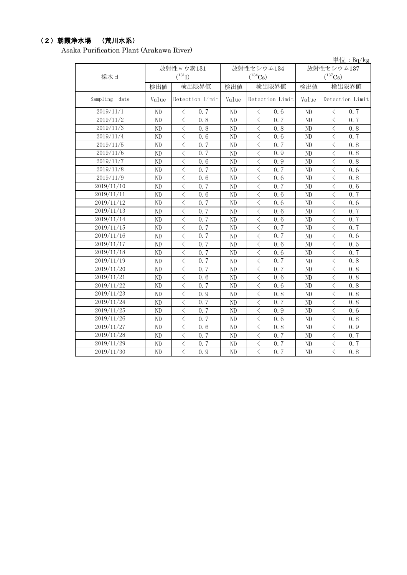### (2)朝霞浄水場 (荒川水系)

Asaka Purification Plant (Arakawa River)

|                  |                |                                                 |                |                                                  |                | 単位: Bq/kg                                        |  |  |
|------------------|----------------|-------------------------------------------------|----------------|--------------------------------------------------|----------------|--------------------------------------------------|--|--|
|                  |                | 放射性ヨウ素131                                       |                | 放射性セシウム134                                       | 放射性セシウム137     |                                                  |  |  |
| 採水日              |                | $(^{131}I)$                                     |                | $(^{134}Cs)$                                     | $(^{137}Cs)$   |                                                  |  |  |
|                  | 検出値            | 検出限界値                                           | 検出値            | 検出限界値                                            | 検出値            | 検出限界値                                            |  |  |
| Sampling<br>date | Value          | Detection Limit                                 | Value          | Detection Limit                                  | Value          | Detection Limit                                  |  |  |
| 2019/11/1        | ND             | $\lt$<br>0.7                                    | ND             | $\lt$<br>0.6                                     | ND             | $\lt$<br>0.7                                     |  |  |
| 2019/11/2        | ND             | $\langle$<br>0.8                                | N <sub>D</sub> | $\langle$<br>0.7                                 | ND             | $\langle$<br>0.7                                 |  |  |
| 2019/11/3        | N <sub>D</sub> | $\lt$<br>0.8                                    | ND             | $\langle$<br>0.8                                 | ND             | $\lt$<br>0.8                                     |  |  |
| 2019/11/4        | ND             | $\overline{\left\langle \right\rangle }$<br>0.6 | ND             | $\overline{\left\langle \right\rangle }$<br>0.6  | N <sub>D</sub> | $\langle$<br>0, 7                                |  |  |
| 2019/11/5        | ND             | $\langle$<br>0.7                                | ND             | $\overline{\left\langle \right\rangle }$<br>0.7  | ND             | $\langle$<br>0.8                                 |  |  |
| 2019/11/6        | N <sub>D</sub> | $\langle$<br>0.7                                | ND             | $\langle$<br>0.9                                 | N <sub>D</sub> | $\langle$<br>0.8                                 |  |  |
| 2019/11/7        | N <sub>D</sub> | $\overline{\langle}$<br>0.6                     | ND             | $\overline{\left\langle \right\rangle }$<br>0.9  | N <sub>D</sub> | $\overline{\left\langle \right\rangle }$<br>0, 8 |  |  |
| 2019/11/8        | ND             | $\lt$<br>0.7                                    | ND             | 0, 7<br>$\langle$                                | N <sub>D</sub> | $\,$ $\,$<br>0.6                                 |  |  |
| 2019/11/9        | N <sub>D</sub> | $\langle$<br>0.6                                | ND             | $\langle$<br>0.6                                 | ND             | $\lt$<br>0.8                                     |  |  |
| 2019/11/10       | N <sub>D</sub> | $\overline{\left\langle \right\rangle }$<br>0.7 | ND             | $\langle$<br>0.7                                 | N <sub>D</sub> | $\langle$<br>0.6                                 |  |  |
| 2019/11/11       | ND             | $\langle$<br>0.6                                | ND             | $\overline{\left\langle \right\rangle }$<br>0, 6 | N <sub>D</sub> | $\langle$<br>0, 7                                |  |  |
| 2019/11/12       | ND             | $\lt$<br>0.7                                    | ND             | $\langle$<br>0.6                                 | N <sub>D</sub> | $\lt$<br>0.6                                     |  |  |
| 2019/11/13       | ND             | $\overline{\left\langle \right\rangle }$<br>0.7 | ND             | $\langle$<br>0.6                                 | N <sub>D</sub> | $\lt$<br>0.7                                     |  |  |
| 2019/11/14       | ND             | $\langle$<br>0.7                                | N <sub>D</sub> | $\langle$<br>0.6                                 | ND             | $\langle$<br>0.7                                 |  |  |
| 2019/11/15       | ND             | $\langle$<br>0.7                                | ND             | $\langle$<br>0.7                                 | ND             | $\lt$<br>0, 7                                    |  |  |
| 2019/11/16       | ND             | $\langle$<br>0.7                                | ND             | $\langle$<br>0.7                                 | ND             | $\langle$<br>0.6                                 |  |  |
| 2019/11/17       | ND             | $\langle$<br>0.7                                | ND             | $\langle$<br>0.6                                 | ND             | $\overline{\left\langle \right\rangle }$<br>0.5  |  |  |
| 2019/11/18       | ND             | $\lt$<br>0, 7                                   | ND             | $\lt$<br>0, 6                                    | ND             | 0.7                                              |  |  |
| 2019/11/19       | ND             | $\lt$<br>0.7                                    | ND             | $\lt$<br>0.7                                     | ND             | $\lt$<br>0.8                                     |  |  |
| 2019/11/20       | ND             | $\lt$<br>0.7                                    | ND             | 0.7<br>$\lt$                                     | ND             | $\lt$<br>0.8                                     |  |  |
| 2019/11/21       | ND             | $\lt$<br>0, 6                                   | ND             | $\lt$<br>0, 6                                    | ND             | $\lt$<br>0.8                                     |  |  |
| 2019/11/22       | N <sub>D</sub> | $\lt$<br>0.7                                    | ND             | $\langle$<br>0.6                                 | ND             | $\lt$<br>0.8                                     |  |  |
| 2019/11/23       | ND             | $\langle$<br>0.9                                | ND             | 0.8<br>$\langle$                                 | ND             | $\langle$<br>0.8                                 |  |  |
| 2019/11/24       | ND             | $\lt$<br>0.7                                    | ND             | $\lt$<br>0.7                                     | ND             | $\lt$<br>0.8                                     |  |  |
| 2019/11/25       | ND             | $\lt$<br>0.7                                    | ND             | $\langle$<br>0.9                                 | ND             | $\lt$<br>0.6                                     |  |  |
| 2019/11/26       | ND             | $\langle$<br>0.7                                | ND             | $\langle$<br>0.6                                 | ND             | $\langle$<br>0.8                                 |  |  |
| 2019/11/27       | ND             | $\lt$<br>0, 6                                   | ND             | $\lt$<br>0.8                                     | ND             | $\lt$<br>0.9                                     |  |  |
| 2019/11/28       | ND             | $\overline{\left\langle \right\rangle }$<br>0.7 | ND             | $\overline{\left\langle \right\rangle }$<br>0.7  | ND             | $\langle$<br>0, 7                                |  |  |
| 2019/11/29       | ND             | $\langle$<br>0.7                                | ND             | $\overline{\left\langle \right\rangle }$<br>0.7  | ND             | $\overline{\left\langle \right\rangle }$<br>0, 7 |  |  |
| 2019/11/30       | ND             | $\lt$<br>0.9                                    | ND             | $\langle$<br>0.7                                 | ND             | $\langle$<br>0.8                                 |  |  |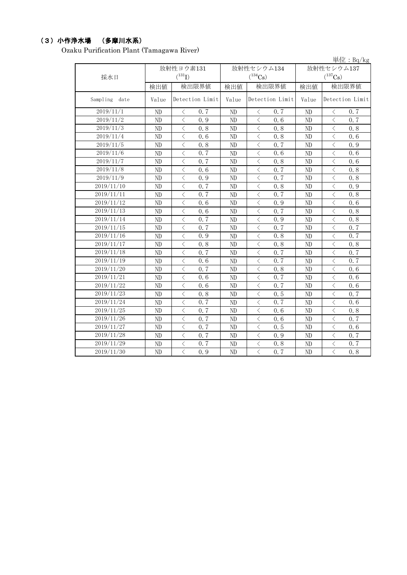# (3)小作浄水場 (多摩川水系)

Ozaku Purification Plant (Tamagawa River)

|                         |                |                                                  |       |                                                 |            | 単位: Bq/kg         |  |
|-------------------------|----------------|--------------------------------------------------|-------|-------------------------------------------------|------------|-------------------|--|
|                         | 放射性ヨウ素131      |                                                  |       | 放射性セシウム134                                      | 放射性セシウム137 |                   |  |
| 採水日                     |                | $(^{131}I)$                                      |       | $(^{134}Cs)$                                    |            | $(^{137}Cs)$      |  |
|                         | 検出値            | 検出限界値                                            | 検出値   | 検出限界値                                           | 検出値        | 検出限界値             |  |
| Sampling<br>date        | Value          | Detection Limit                                  | Value | Detection Limit                                 | Value      | Detection Limit   |  |
| 2019/11/1               | ND             | $\,$ $\,$ $\,$<br>0.7                            | ND    | $\langle$<br>0.7                                | ND         | $\langle$<br>0.7  |  |
| 2019/11/2               | ND             | $\langle$<br>0.9                                 | ND    | $\langle$<br>0.6                                | ND         | $\langle$<br>0.7  |  |
| 2019/11/3               | ND             | $\langle$<br>0.8                                 | ND    | $\langle$<br>0.8                                | ND         | $\langle$<br>0.8  |  |
| 2019/11/4               | ND             | $\langle$<br>0.6                                 | ND    | $\overline{\left\langle \right\rangle }$<br>0.8 | ND         | $\langle$<br>0.6  |  |
| 2019/11/5               | ND             | $\langle$<br>0.8                                 | ND    | $\overline{\left\langle \right\rangle }$<br>0.7 | ND         | $\langle$<br>0.9  |  |
| 2019/11/6               | N <sub>D</sub> | $\langle$<br>0.7                                 | ND    | $\lt$<br>0.6                                    | ND         | $\langle$<br>0, 6 |  |
| 2019/11/7               | ND             | $\langle$<br>0, 7                                | ND    | $\overline{\left\langle \right\rangle }$<br>0.8 | ND         | $\langle$<br>0, 6 |  |
| 2019/11/8               | ND             | $\langle$<br>0.6                                 | ND    | 0.7<br>$\langle$                                | ND         | $\,$ $\,$<br>0.8  |  |
| 2019/11/9               | N <sub>D</sub> | $\lt$<br>0.9                                     | ND    | $\langle$<br>0.7                                | ND         | $\langle$<br>0.8  |  |
| 2019/11/10              | ND             | $\langle$<br>0, 7                                | ND    | $\langle$<br>0.8                                | ND         | $\langle$<br>0.9  |  |
| 2019/11/11              | ND             | $\overline{\left\langle \right\rangle }$<br>0, 7 | ND    | $\langle$<br>0.7                                | ND         | $\lt$<br>0.8      |  |
| 2019/11/12              | ND             | $\lt$<br>0.6                                     | ND    | $\langle$<br>0.9                                | ND         | $\langle$<br>0.6  |  |
| $2019/11/\overline{13}$ | ND             | $\lt$<br>0.6                                     | ND    | $\langle$<br>0.7                                | ND         | $\langle$<br>0.8  |  |
| 2019/11/14              | ND             | $\langle$<br>0.7                                 | ND    | $\lt$<br>0.9                                    | ND         | $\langle$<br>0.8  |  |
| 2019/11/15              | N <sub>D</sub> | $\langle$<br>0.7                                 | ND    | $\langle$<br>0.7                                | ND         | $\lt$<br>0, 7     |  |
| 2019/11/16              | ND             | $\langle$<br>0.9                                 | ND    | $\langle$<br>0.8                                | ND         | $\langle$<br>0.7  |  |
| 2019/11/17              | ND             | $\langle$<br>0.8                                 | ND    | $\langle$<br>0.8                                | ND         | $\langle$<br>0.8  |  |
| 2019/11/18              | ND             | $\lt$<br>0, 7                                    | ND    | $\lt$<br>0.7                                    | ND         | $\lt$<br>0.7      |  |
| 2019/11/19              | ND             | $\lt$<br>0.6                                     | ND    | $\lt$<br>0.7                                    | ND         | $\langle$<br>0, 7 |  |
| 2019/11/20              | ND             | $\langle$<br>0.7                                 | ND    | 0.8<br>$\lt$                                    | ND         | $\lt$<br>0.6      |  |
| 2019/11/21              | ND             | $\lt$<br>0, 6                                    | ND    | 0.7<br>$\lt$                                    | ND         | $\lt$<br>0.6      |  |
| 2019/11/22              | ND             | $\langle$<br>0.6                                 | ND    | $\lt$<br>0.7                                    | ND         | $\lt$<br>0.6      |  |
| 2019/11/23              | ND             | $\langle$<br>0.8                                 | ND    | 0.5<br>$\langle$                                | ND         | $\langle$<br>0.7  |  |
| 2019/11/24              | ND             | $\lt$<br>0.7                                     | ND    | $\lt$<br>0.7                                    | ND         | $\langle$<br>0.6  |  |
| 2019/11/25              | ND             | $\lt$<br>0.7                                     | ND    | $\langle$<br>0.6                                | ND         | $\lt$<br>0.8      |  |
| 2019/11/26              | ND             | $\langle$<br>0.7                                 | ND    | $\lt$<br>0.6                                    | ND         | 0.7<br>$\langle$  |  |
| 2019/11/27              | ND             | $\langle$<br>0.7                                 | ND    | $\lt$<br>0.5                                    | ND         | $\lt$<br>0.6      |  |
| 2019/11/28              | ND             | $\langle$<br>0, 7                                | ND    | $\overline{\left\langle \right\rangle }$<br>0.9 | ND         | $\langle$<br>0, 7 |  |
| 2019/11/29              | ND             | $\langle$<br>0.7                                 | ND    | $\langle$<br>0.8                                | ND         | $\langle$<br>0.7  |  |
| 2019/11/30              | ND             | $\lt$<br>0.9                                     | ND    | $\langle$<br>0.7                                | ND         | $\,$ $\,$<br>0.8  |  |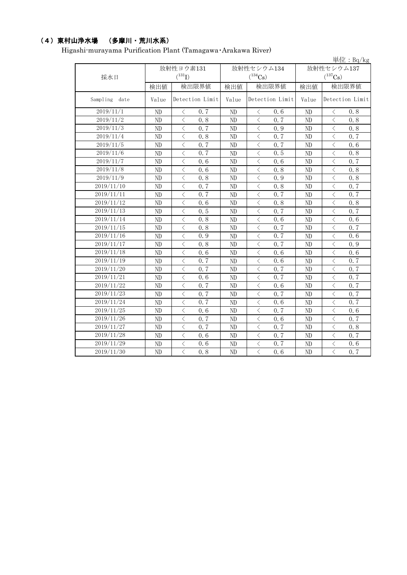## (4)東村山浄水場 (多摩川・荒川水系)

Higashi-murayama Purification Plant (Tamagawa・Arakawa River)

|                      |                |                                                 |                |                                                 |                | 単位: $Bq/kg$                 |  |
|----------------------|----------------|-------------------------------------------------|----------------|-------------------------------------------------|----------------|-----------------------------|--|
|                      | 放射性ヨウ素131      |                                                 |                | 放射性セシウム134                                      | 放射性セシウム137     |                             |  |
| 採水日                  |                | $(^{131}I)$                                     |                | $(^{134}Cs)$                                    |                | $(^{137}Cs)$                |  |
|                      | 検出値            | 検出限界値                                           | 検出値            | 検出限界値                                           | 検出値            | 検出限界値                       |  |
| Sampling<br>date     | Value          | Detection Limit                                 | Value          | Detection Limit                                 | Value          | Detection Limit             |  |
| 2019/11/1            | ND             | 0.7<br>$\langle$                                | ND             | $\langle$<br>0.6                                | ND             | 0.8<br>$\lt$                |  |
| $\frac{2019}{11}{2}$ | ND             | $\langle$<br>0.8                                | ND             | $\langle$<br>0.7                                | ND             | $\langle$<br>0, 8           |  |
| 2019/11/3            | ND             | $\langle$<br>0.7                                | ND             | $\lt$<br>0.9                                    | ND             | $\langle$<br>0.8            |  |
| 2019/11/4            | ND             | $\langle$<br>0.8                                | ND             | $\lt$<br>0.7                                    | ND             | $\lt$<br>0.7                |  |
| 2019/11/5            | ND             | $\overline{\left\langle \right\rangle }$<br>0.7 | ND             | $\langle$<br>0.7                                | ND             | $\langle$<br>0.6            |  |
| 2019/11/6            | ND             | $\lt$<br>0.7                                    | ND             | $\lt$<br>0.5                                    | ND             | $\langle$<br>0.8            |  |
| 2019/11/7            | ND             | $\langle$<br>0, 6                               | ND             | $\lt$<br>0.6                                    | ND             | $\langle$<br>0.7            |  |
| 2019/11/8            | ND             | $\langle$<br>0.6                                | ND             | $\lt$<br>0.8                                    | ND             | $\langle$<br>0.8            |  |
| 2019/11/9            | ND             | $\lt$<br>0.8                                    | ND             | $\langle$<br>0.9                                | ND             | $\lt$<br>0.8                |  |
| 2019/11/10           | ND             | $\lt$<br>0.7                                    | ND             | $\langle$<br>0.8                                | ND             | $\lt$<br>0.7                |  |
| 2019/11/11           | ND             | $\lt$<br>0.7                                    | ND             | $\langle$<br>0.7                                | ND             | $\, <\,$<br>0.7             |  |
| 2019/11/12           | N <sub>D</sub> | $\langle$<br>0.6                                | ND             | $\lt$<br>0.8                                    | ND             | $\langle$<br>0.8            |  |
| 2019/11/13           | ND             | $\langle$<br>0.5                                | ND             | $\lt$<br>0.7                                    | ND             | 0.7<br>$\lt$                |  |
| 2019/11/14           | ND             | $\langle$<br>0.8                                | ND             | 0.6<br>$\lt$                                    | ND             | $\lt$<br>0.6                |  |
| 2019/11/15           | ND             | $\langle$<br>0.8                                | ND             | $\overline{\left\langle \right\rangle }$<br>0.7 | ND             | $\langle$<br>0.7            |  |
| 2019/11/16           | ND             | $\langle$<br>0.9                                | ND             | $\overline{\left\langle \right\rangle }$<br>0.7 | ND             | $\langle$<br>0.6            |  |
| 2019/11/17           | ND             | $\overline{\left\langle \right\rangle }$<br>0.8 | ND             | 0.7<br>$\lt$                                    | ND             | $\langle$<br>0.9            |  |
| 2019/11/18           | ND             | $\langle$<br>0.6                                | ND             | $\langle$<br>0, 6                               | ND             | $\langle$<br>0.6            |  |
| 2019/11/19           | ND             | $\langle$<br>0.7                                | N <sub>D</sub> | $\overline{\left\langle \right\rangle }$<br>0.6 | N <sub>D</sub> | $\overline{\langle}$<br>0.7 |  |
| 2019/11/20           | ND             | $\overline{\langle}$<br>0.7                     | ND             | $\overline{\left\langle \right\rangle }$<br>0.7 | ND             | $\overline{\langle}$<br>0.7 |  |
| 2019/11/21           | ND             | $\langle$<br>0.6                                | ND             | $\lt$<br>0.7                                    | ND             | $\langle$<br>0.7            |  |
| 2019/11/22           | ND             | $\lt$<br>0, 7                                   | ND             | $\lt$<br>0, 6                                   | ND             | $\lt$<br>0, 7               |  |
| 2019/11/23           | ND             | $\langle$<br>0.7                                | ND             | $\lt$<br>0.7                                    | ND             | 0.7<br>$\lt$                |  |
| 2019/11/24           | ND             | $\lt$<br>0.7                                    | ND             | $\lt$<br>0.6                                    | ND             | $\lt$<br>0.7                |  |
| 2019/11/25           | ND             | $\lt$<br>0.6                                    | ND             | 0.7<br>$\lt$                                    | ND             | $\langle$<br>0.6            |  |
| 2019/11/26           | ND             | $\langle$<br>0.7                                | ND             | $\lt$<br>0.6                                    | ND             | $\langle$<br>0.7            |  |
| 2019/11/27           | ND             | $\langle$<br>0.7                                | ND             | $\lt$<br>0.7                                    | ND             | $\langle$<br>0.8            |  |
| 2019/11/28           | ND             | $\langle$<br>0, 6                               | ND             | $\lt$<br>0.7                                    | ND             | $\langle$<br>0.7            |  |
| 2019/11/29           | ND             | $\lt$<br>0.6                                    | ND             | $\lt$<br>0.7                                    | ND             | $\lt$<br>0.6                |  |
| 2019/11/30           | ND             | $\overline{\left\langle \right\rangle }$<br>0.8 | ND             | $\overline{\left\langle \right\rangle }$<br>0.6 | ND             | $\langle$<br>0.7            |  |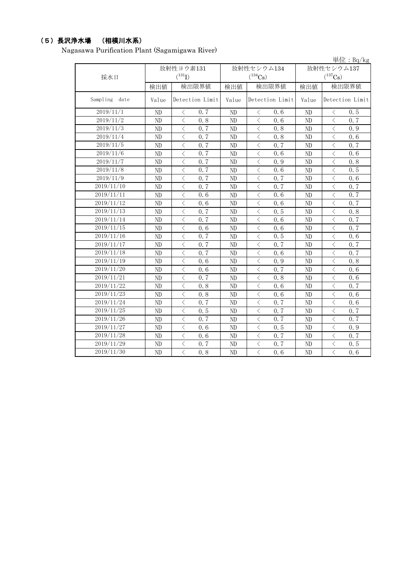### (5)長沢浄水場 (相模川水系)

Nagasawa Purification Plant (Sagamigawa River)

|                  |                |                                                 |                |                                                 |                | 単位: Bq/kg                                        |  |  |
|------------------|----------------|-------------------------------------------------|----------------|-------------------------------------------------|----------------|--------------------------------------------------|--|--|
|                  |                | 放射性ヨウ素131                                       |                | 放射性セシウム134                                      |                | 放射性セシウム137                                       |  |  |
| 採水日              |                | $(^{131}I)$                                     |                | $(^{134}Cs)$                                    | $(^{137}Cs)$   |                                                  |  |  |
|                  | 検出値            | 検出限界値                                           | 検出値            | 検出限界値                                           | 検出値            | 検出限界値                                            |  |  |
| Sampling<br>date | Value          | Detection Limit                                 | Value          | Detection Limit                                 | Value          | Detection Limit                                  |  |  |
| 2019/11/1        | N <sub>D</sub> | 0.7<br>$\langle$                                | ND             | 0.6<br>$\langle$                                | N <sub>D</sub> | 0.5<br>$\lt$                                     |  |  |
| 2019/11/2        | N <sub>D</sub> | $\overline{\left\langle \right\rangle }$<br>0.8 | ND             | $\langle$<br>0, 6                               | ND             | $\overline{\left\langle \right\rangle }$<br>0, 7 |  |  |
| 2019/11/3        | ND             | $\overline{\left\langle \right\rangle }$<br>0.7 | ND             | $\langle$<br>0.8                                | ND             | $\langle$<br>0.9                                 |  |  |
| 2019/11/4        | ND             | $\langle$<br>$0, \overline{7}$                  | ND             | $\langle$<br>0.8                                | ND             | $\,$ $\,$<br>0.6                                 |  |  |
| 2019/11/5        | ND             | $\langle$<br>0.7                                | ND             | $\lt$<br>0.7                                    | ND             | $\langle$<br>0, 7                                |  |  |
| 2019/11/6        | ND             | $\overline{\langle}$<br>0, 7                    | ND             | $\overline{\left\langle \right\rangle }$<br>0.6 | N <sub>D</sub> | $\langle$<br>0, 6                                |  |  |
| 2019/11/7        | ND             | $\langle$<br>0.7                                | ND             | $\langle$<br>0.9                                | N <sub>D</sub> | $\,$ $\,$<br>0.8                                 |  |  |
| 2019/11/8        | ND             | 0.7<br>$\lt$                                    | ND             | 0.6<br>$\lt$                                    | N <sub>D</sub> | 0.5<br>$\lt$                                     |  |  |
| 2019/11/9        | N <sub>D</sub> | $\langle$<br>0.7                                | ND             | $\langle$<br>0.7                                | N <sub>D</sub> | $\langle$<br>0.6                                 |  |  |
| 2019/11/10       | ND             | $\overline{\langle}$<br>0, 7                    | N <sub>D</sub> | $\overline{\left\langle \right\rangle }$<br>0.7 | N <sub>D</sub> | $\langle$<br>0.7                                 |  |  |
| 2019/11/11       | ND             | $\langle$<br>0.6                                | ND             | $\langle$<br>0.6                                | N <sub>D</sub> | $\langle$<br>0.7                                 |  |  |
| 2019/11/12       | ND             | $\lt$<br>0.6                                    | ND             | $\langle$<br>0.6                                | N <sub>D</sub> | $\lt$<br>0.7                                     |  |  |
| 2019/11/13       | ND             | $\lt$<br>0.7                                    | ND             | $\langle$<br>0.5                                | ND             | $\langle$<br>0.8                                 |  |  |
| 2019/11/14       | ND             | $\langle$<br>0.7                                | ND             | $\lt$<br>0.6                                    | ND             | $\lt$<br>0.7                                     |  |  |
| 2019/11/15       | ND             | $\lt$<br>0.6                                    | ND             | $\lt$<br>0.6                                    | ND             | $\lt$<br>0.7                                     |  |  |
| 2019/11/16       | ND             | $\lt$<br>0.7                                    | ND             | $\lt$<br>0, 5                                   | ND             | $\lt$<br>0.6                                     |  |  |
| 2019/11/17       | ND             | $\lt$<br>0.7                                    | ND             | $\langle$<br>0.7                                | ND             | $\,$ $\,$<br>0.7                                 |  |  |
| 2019/11/18       | ND             | $\lt$<br>0.7                                    | ND             | $\langle$<br>0.6                                | ND             | $\,$ $\,$<br>0, 7                                |  |  |
| 2019/11/19       | ND             | $\lt$<br>0.6                                    | ND             | $\lt$<br>0.9                                    | ND             | $\langle$<br>0.8                                 |  |  |
| 2019/11/20       | ND             | 0.6<br>$\lt$                                    | ND             | 0.7<br>$\lt$                                    | ND             | 0.6<br>$\lt$                                     |  |  |
| 2019/11/21       | ND             | $\lt$<br>0.7                                    | ND             | $\lt$<br>0.8                                    | ND             | $\lt$<br>0.6                                     |  |  |
| 2019/11/22       | ND             | $\lt$<br>0.8                                    | N <sub>D</sub> | $\lt$<br>0.6                                    | ND             | $\lt$<br>0.7                                     |  |  |
| 2019/11/23       | ND             | $\langle$<br>0.8                                | ND             | $\langle$<br>0.6                                | N <sub>D</sub> | $\langle$<br>0.6                                 |  |  |
| 2019/11/24       | ND             | $\lt$<br>0, 7                                   | ND             | $\langle$<br>0.7                                | ND             | $\langle$<br>0.6                                 |  |  |
| 2019/11/25       | ND             | $\langle$<br>0.5                                | ND             | $\langle$<br>0.7                                | ND             | 0.7<br>$\lt$                                     |  |  |
| 2019/11/26       | ND             | $\lt$<br>0.7                                    | ND             | $\lt$<br>0.7                                    | ND             | $\langle$<br>0.7                                 |  |  |
| 2019/11/27       | ND             | $\langle$<br>0, 6                               | N <sub>D</sub> | $\langle$<br>0.5                                | ND             | $\langle$<br>0.9                                 |  |  |
| 2019/11/28       | ND             | $\langle$<br>0.6                                | ND             | $\lt$<br>0.7                                    | ND             | $\langle$<br>0.7                                 |  |  |
| 2019/11/29       | ND             | $\lt$<br>0.7                                    | ND             | $\langle$<br>0.7                                | ND             | $\langle$<br>0.5                                 |  |  |
| 2019/11/30       | ND             | $\langle$<br>0.8                                | ND             | $\langle$<br>0.6                                | ND             | $\langle$<br>0.6                                 |  |  |